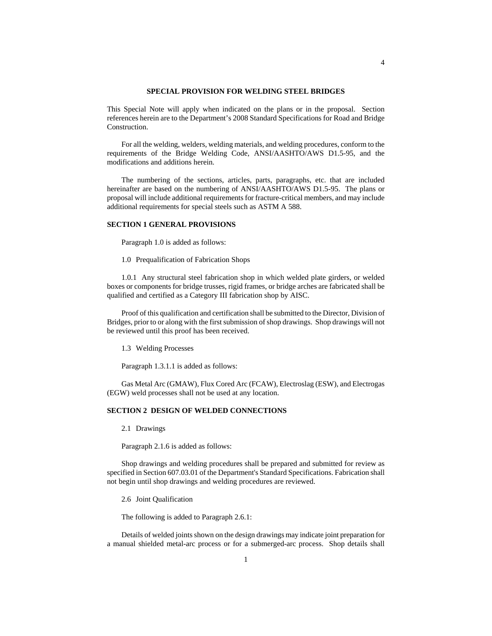#### **SPECIAL PROVISION FOR WELDING STEEL BRIDGES**

This Special Note will apply when indicated on the plans or in the proposal. Section references herein are to the Department's 2008 Standard Specifications for Road and Bridge Construction.

For all the welding, welders, welding materials, and welding procedures, conform to the requirements of the Bridge Welding Code, ANSI/AASHTO/AWS D1.5-95, and the modifications and additions herein.

The numbering of the sections, articles, parts, paragraphs, etc. that are included hereinafter are based on the numbering of ANSI/AASHTO/AWS D1.5-95. The plans or proposal will include additional requirements for fracture-critical members, and may include additional requirements for special steels such as ASTM A 588.

#### **SECTION 1 GENERAL PROVISIONS**

Paragraph 1.0 is added as follows:

1.0 Prequalification of Fabrication Shops

1.0.1 Any structural steel fabrication shop in which welded plate girders, or welded boxes or components for bridge trusses, rigid frames, or bridge arches are fabricated shall be qualified and certified as a Category III fabrication shop by AISC.

Proof of this qualification and certification shall be submitted to the Director, Division of Bridges, prior to or along with the first submission of shop drawings. Shop drawings will not be reviewed until this proof has been received.

1.3 Welding Processes

Paragraph 1.3.1.1 is added as follows:

Gas Metal Arc (GMAW), Flux Cored Arc (FCAW), Electroslag (ESW), and Electrogas (EGW) weld processes shall not be used at any location.

# **SECTION 2 DESIGN OF WELDED CONNECTIONS**

2.1 Drawings

Paragraph 2.1.6 is added as follows:

Shop drawings and welding procedures shall be prepared and submitted for review as specified in Section 607.03.01 of the Department's Standard Specifications. Fabrication shall not begin until shop drawings and welding procedures are reviewed.

2.6 Joint Qualification

The following is added to Paragraph 2.6.1:

Details of welded joints shown on the design drawings may indicate joint preparation for a manual shielded metal-arc process or for a submerged-arc process. Shop details shall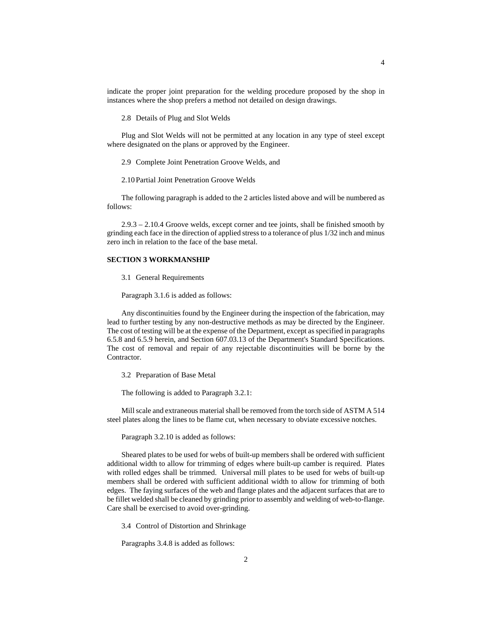indicate the proper joint preparation for the welding procedure proposed by the shop in instances where the shop prefers a method not detailed on design drawings.

2.8 Details of Plug and Slot Welds

Plug and Slot Welds will not be permitted at any location in any type of steel except where designated on the plans or approved by the Engineer.

2.9 Complete Joint Penetration Groove Welds, and

2.10 Partial Joint Penetration Groove Welds

The following paragraph is added to the 2 articles listed above and will be numbered as follows:

2.9.3 – 2.10.4 Groove welds, except corner and tee joints, shall be finished smooth by grinding each face in the direction of applied stress to a tolerance of plus 1/32 inch and minus zero inch in relation to the face of the base metal.

### **SECTION 3 WORKMANSHIP**

3.1 General Requirements

Paragraph 3.1.6 is added as follows:

Any discontinuities found by the Engineer during the inspection of the fabrication, may lead to further testing by any non-destructive methods as may be directed by the Engineer. The cost of testing will be at the expense of the Department, except as specified in paragraphs 6.5.8 and 6.5.9 herein, and Section 607.03.13 of the Department's Standard Specifications. The cost of removal and repair of any rejectable discontinuities will be borne by the Contractor.

3.2 Preparation of Base Metal

The following is added to Paragraph 3.2.1:

Mill scale and extraneous material shall be removed from the torch side of ASTM A 514 steel plates along the lines to be flame cut, when necessary to obviate excessive notches.

Paragraph 3.2.10 is added as follows:

Sheared plates to be used for webs of built-up members shall be ordered with sufficient additional width to allow for trimming of edges where built-up camber is required. Plates with rolled edges shall be trimmed. Universal mill plates to be used for webs of built-up members shall be ordered with sufficient additional width to allow for trimming of both edges. The faying surfaces of the web and flange plates and the adjacent surfaces that are to be fillet welded shall be cleaned by grinding prior to assembly and welding of web-to-flange. Care shall be exercised to avoid over-grinding.

3.4 Control of Distortion and Shrinkage

Paragraphs 3.4.8 is added as follows: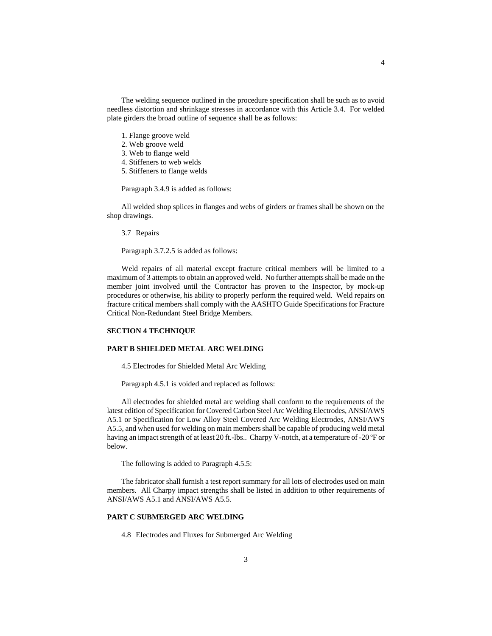The welding sequence outlined in the procedure specification shall be such as to avoid needless distortion and shrinkage stresses in accordance with this Article 3.4. For welded plate girders the broad outline of sequence shall be as follows:

- 1. Flange groove weld
- 2. Web groove weld
- 3. Web to flange weld
- 4. Stiffeners to web welds
- 5. Stiffeners to flange welds

Paragraph 3.4.9 is added as follows:

All welded shop splices in flanges and webs of girders or frames shall be shown on the shop drawings.

3.7 Repairs

Paragraph 3.7.2.5 is added as follows:

Weld repairs of all material except fracture critical members will be limited to a maximum of 3 attempts to obtain an approved weld. No further attemptsshall be made on the member joint involved until the Contractor has proven to the Inspector, by mock-up procedures or otherwise, his ability to properly perform the required weld. Weld repairs on fracture critical members shall comply with the AASHTO Guide Specifications for Fracture Critical Non-Redundant Steel Bridge Members.

# **SECTION 4 TECHNIQUE**

### **PART B SHIELDED METAL ARC WELDING**

4.5 Electrodes for Shielded Metal Arc Welding

Paragraph 4.5.1 is voided and replaced as follows:

All electrodes for shielded metal arc welding shall conform to the requirements of the latest edition of Specification for Covered Carbon Steel Arc Welding Electrodes, ANSI/AWS A5.1 or Specification for Low Alloy Steel Covered Arc Welding Electrodes, ANSI/AWS A5.5, and when used for welding on main members shall be capable of producing weld metal having an impact strength of at least 20 ft.-lbs.. Charpy V-notch, at a temperature of -20 °F or below.

The following is added to Paragraph 4.5.5:

The fabricator shall furnish a test report summary for all lots of electrodes used on main members. All Charpy impact strengths shall be listed in addition to other requirements of ANSI/AWS A5.1 and ANSI/AWS A5.5.

# **PART C SUBMERGED ARC WELDING**

4.8 Electrodes and Fluxes for Submerged Arc Welding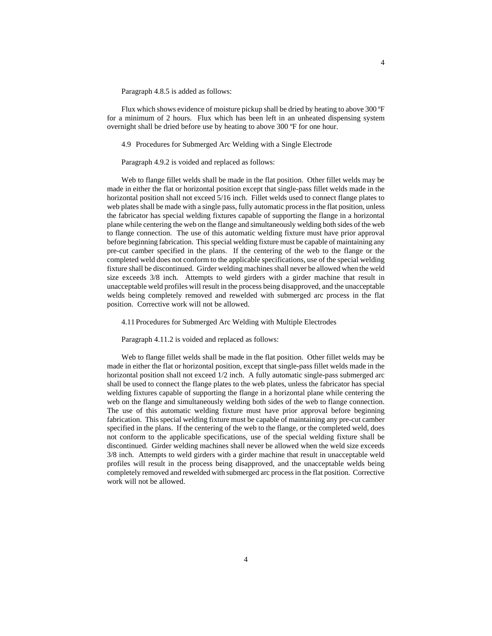Paragraph 4.8.5 is added as follows:

Flux which shows evidence of moisture pickup shall be dried by heating to above 300 ºF for a minimum of 2 hours. Flux which has been left in an unheated dispensing system overnight shall be dried before use by heating to above 300 ºF for one hour.

4.9 Procedures for Submerged Arc Welding with a Single Electrode

Paragraph 4.9.2 is voided and replaced as follows:

Web to flange fillet welds shall be made in the flat position. Other fillet welds may be made in either the flat or horizontal position except that single-pass fillet welds made in the horizontal position shall not exceed 5/16 inch. Fillet welds used to connect flange plates to web plates shall be made with a single pass, fully automatic processin the flat position, unless the fabricator has special welding fixtures capable of supporting the flange in a horizontal plane while centering the web on the flange and simultaneously welding both sides of the web to flange connection. The use of this automatic welding fixture must have prior approval before beginning fabrication. This special welding fixture must be capable of maintaining any pre-cut camber specified in the plans. If the centering of the web to the flange or the completed weld does not conform to the applicable specifications, use of the special welding fixture shall be discontinued. Girder welding machines shall never be allowed when the weld size exceeds  $3/8$  inch. Attempts to weld girders with a girder machine that result in unacceptable weld profiles will result in the process being disapproved, and the unacceptable welds being completely removed and rewelded with submerged arc process in the flat position. Corrective work will not be allowed.

4.11 Procedures for Submerged Arc Welding with Multiple Electrodes

Paragraph 4.11.2 is voided and replaced as follows:

Web to flange fillet welds shall be made in the flat position. Other fillet welds may be made in either the flat or horizontal position, except that single-pass fillet welds made in the horizontal position shall not exceed 1/2 inch. A fully automatic single-pass submerged arc shall be used to connect the flange plates to the web plates, unless the fabricator has special welding fixtures capable of supporting the flange in a horizontal plane while centering the web on the flange and simultaneously welding both sides of the web to flange connection. The use of this automatic welding fixture must have prior approval before beginning fabrication. This special welding fixture must be capable of maintaining any pre-cut camber specified in the plans. If the centering of the web to the flange, or the completed weld, does not conform to the applicable specifications, use of the special welding fixture shall be discontinued. Girder welding machines shall never be allowed when the weld size exceeds 3/8 inch. Attempts to weld girders with a girder machine that result in unacceptable weld profiles will result in the process being disapproved, and the unacceptable welds being completely removed and rewelded with submerged arc process in the flat position. Corrective work will not be allowed.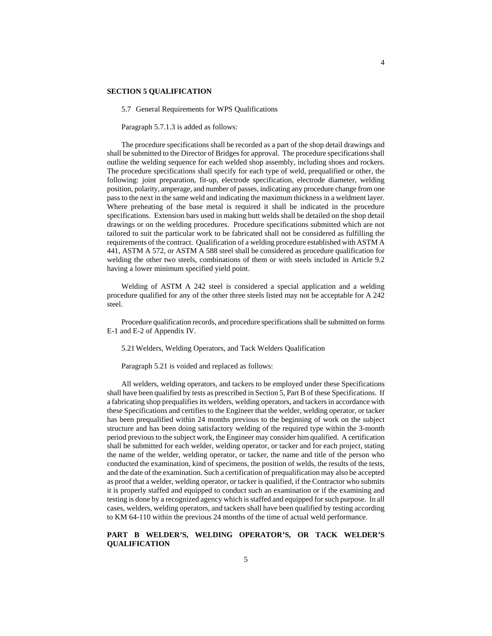#### **SECTION 5 QUALIFICATION**

5.7 General Requirements for WPS Qualifications

Paragraph 5.7.1.3 is added as follows:

The procedure specifications shall be recorded as a part of the shop detail drawings and shall be submitted to the Director of Bridges for approval. The procedure specifications shall outline the welding sequence for each welded shop assembly, including shoes and rockers. The procedure specifications shall specify for each type of weld, prequalified or other, the following: joint preparation, fit-up, electrode specification, electrode diameter, welding position, polarity, amperage, and number of passes, indicating any procedure change from one pass to the next in the same weld and indicating the maximum thickness in a weldment layer. Where preheating of the base metal is required it shall be indicated in the procedure specifications. Extension bars used in making butt welds shall be detailed on the shop detail drawings or on the welding procedures. Procedure specifications submitted which are not tailored to suit the particular work to be fabricated shall not be considered as fulfilling the requirements of the contract. Qualification of a welding procedure established with ASTM A 441, ASTM A 572, or ASTM A 588 steel shall be considered as procedure qualification for welding the other two steels, combinations of them or with steels included in Article 9.2 having a lower minimum specified yield point.

Welding of ASTM A 242 steel is considered a special application and a welding procedure qualified for any of the other three steels listed may not be acceptable for A 242 steel.

Procedure qualification records, and procedure specifications shall be submitted on forms E-1 and E-2 of Appendix IV.

5.21 Welders, Welding Operators, and Tack Welders Qualification

Paragraph 5.21 is voided and replaced as follows:

All welders, welding operators, and tackers to be employed under these Specifications shall have been qualified by tests as prescribed in Section 5, Part B of these Specifications. If a fabricating shop prequalifies its welders, welding operators, and tackers in accordance with these Specifications and certifies to the Engineer that the welder, welding operator, or tacker has been prequalified within 24 months previous to the beginning of work on the subject structure and has been doing satisfactory welding of the required type within the 3-month period previous to the subject work, the Engineer may consider him qualified. A certification shall be submitted for each welder, welding operator, or tacker and for each project, stating the name of the welder, welding operator, or tacker, the name and title of the person who conducted the examination, kind of specimens, the position of welds, the results of the tests, and the date of the examination. Such a certification of prequalification may also be accepted as proof that a welder, welding operator, or tacker is qualified, if the Contractor who submits it is properly staffed and equipped to conduct such an examination or if the examining and testing is done by a recognized agency which is staffed and equipped for such purpose. In all cases, welders, welding operators, and tackers shall have been qualified by testing according to KM 64-110 within the previous 24 months of the time of actual weld performance.

# **PART B WELDER'S, WELDING OPERATOR'S, OR TACK WELDER'S QUALIFICATION**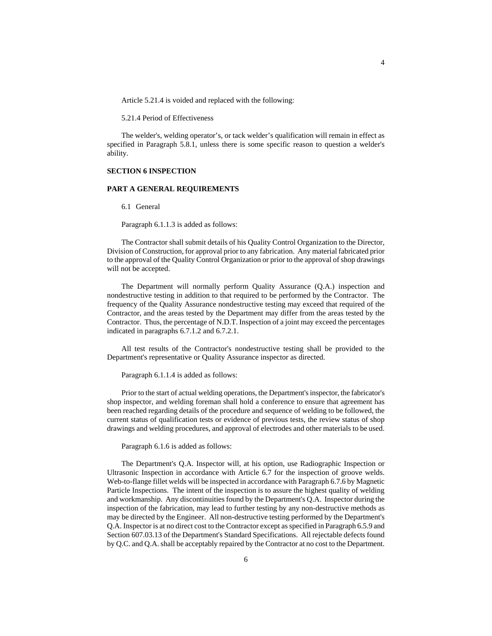Article 5.21.4 is voided and replaced with the following:

5.21.4 Period of Effectiveness

The welder's, welding operator's, or tack welder's qualification will remain in effect as specified in Paragraph 5.8.1, unless there is some specific reason to question a welder's ability.

# **SECTION 6 INSPECTION**

#### **PART A GENERAL REQUIREMENTS**

6.1 General

Paragraph 6.1.1.3 is added as follows:

The Contractor shall submit details of his Quality Control Organization to the Director, Division of Construction, for approval prior to any fabrication. Any material fabricated prior to the approval of the Quality Control Organization or prior to the approval of shop drawings will not be accepted.

The Department will normally perform Quality Assurance (Q.A.) inspection and nondestructive testing in addition to that required to be performed by the Contractor. The frequency of the Quality Assurance nondestructive testing may exceed that required of the Contractor, and the areas tested by the Department may differ from the areas tested by the Contractor. Thus, the percentage of N.D.T. Inspection of a joint may exceed the percentages indicated in paragraphs 6.7.1.2 and 6.7.2.1.

All test results of the Contractor's nondestructive testing shall be provided to the Department's representative or Quality Assurance inspector as directed.

Paragraph 6.1.1.4 is added as follows:

Prior to the start of actual welding operations, the Department's inspector, the fabricator's shop inspector, and welding foreman shall hold a conference to ensure that agreement has been reached regarding details of the procedure and sequence of welding to be followed, the current status of qualification tests or evidence of previous tests, the review status of shop drawings and welding procedures, and approval of electrodes and other materials to be used.

Paragraph 6.1.6 is added as follows:

The Department's Q.A. Inspector will, at his option, use Radiographic Inspection or Ultrasonic Inspection in accordance with Article 6.7 for the inspection of groove welds. Web-to-flange fillet welds will be inspected in accordance with Paragraph 6.7.6 by Magnetic Particle Inspections. The intent of the inspection is to assure the highest quality of welding and workmanship. Any discontinuities found by the Department's Q.A. Inspector during the inspection of the fabrication, may lead to further testing by any non-destructive methods as may be directed by the Engineer. All non-destructive testing performed by the Department's Q.A. Inspector is at no direct cost to the Contractor except as specified in Paragraph 6.5.9 and Section 607.03.13 of the Department's Standard Specifications. All rejectable defects found by Q.C. and Q.A. shall be acceptably repaired by the Contractor at no cost to the Department.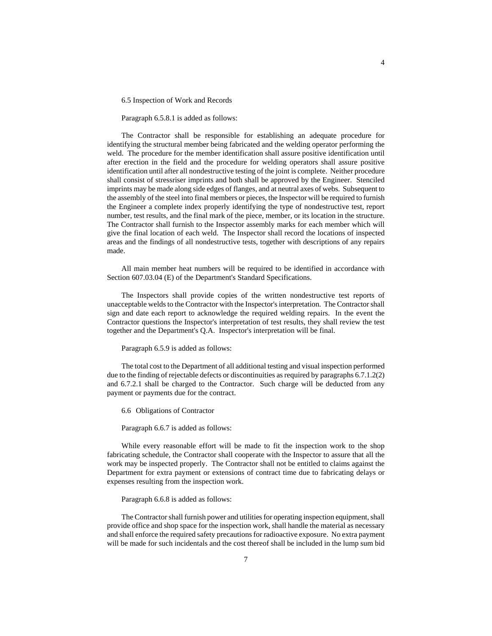6.5 Inspection of Work and Records

Paragraph 6.5.8.1 is added as follows:

The Contractor shall be responsible for establishing an adequate procedure for identifying the structural member being fabricated and the welding operator performing the weld. The procedure for the member identification shall assure positive identification until after erection in the field and the procedure for welding operators shall assure positive identification until after all nondestructive testing of the joint is complete. Neither procedure shall consist of stressriser imprints and both shall be approved by the Engineer. Stenciled imprints may be made along side edges of flanges, and at neutral axes of webs. Subsequent to the assembly of the steel into final members or pieces, the Inspector will be required to furnish the Engineer a complete index properly identifying the type of nondestructive test, report number, test results, and the final mark of the piece, member, or its location in the structure. The Contractor shall furnish to the Inspector assembly marks for each member which will give the final location of each weld. The Inspector shall record the locations of inspected areas and the findings of all nondestructive tests, together with descriptions of any repairs made.

All main member heat numbers will be required to be identified in accordance with Section 607.03.04 (E) of the Department's Standard Specifications.

The Inspectors shall provide copies of the written nondestructive test reports of unacceptable welds to the Contractor with the Inspector's interpretation. The Contractor shall sign and date each report to acknowledge the required welding repairs. In the event the Contractor questions the Inspector's interpretation of test results, they shall review the test together and the Department's Q.A. Inspector's interpretation will be final.

#### Paragraph 6.5.9 is added as follows:

The total cost to the Department of all additional testing and visual inspection performed due to the finding of rejectable defects or discontinuities as required by paragraphs 6.7.1.2(2) and 6.7.2.1 shall be charged to the Contractor. Such charge will be deducted from any payment or payments due for the contract.

6.6 Obligations of Contractor

Paragraph 6.6.7 is added as follows:

While every reasonable effort will be made to fit the inspection work to the shop fabricating schedule, the Contractor shall cooperate with the Inspector to assure that all the work may be inspected properly. The Contractor shall not be entitled to claims against the Department for extra payment or extensions of contract time due to fabricating delays or expenses resulting from the inspection work.

#### Paragraph 6.6.8 is added as follows:

The Contractor shall furnish power and utilities for operating inspection equipment, shall provide office and shop space for the inspection work, shall handle the material as necessary and shall enforce the required safety precautions for radioactive exposure. No extra payment will be made for such incidentals and the cost thereof shall be included in the lump sum bid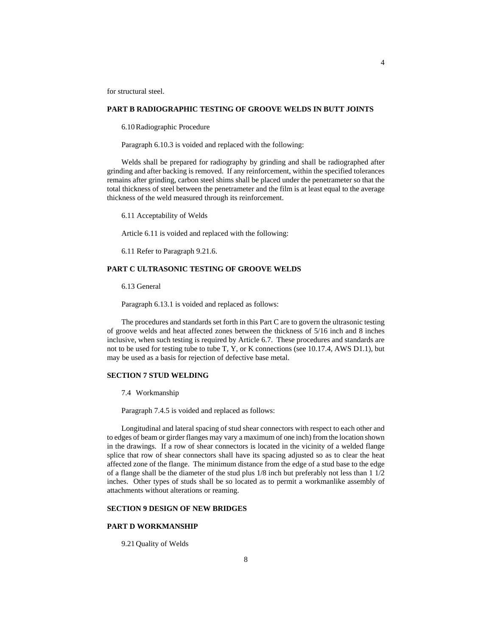for structural steel.

### **PART B RADIOGRAPHIC TESTING OF GROOVE WELDS IN BUTT JOINTS**

6.10 Radiographic Procedure

Paragraph 6.10.3 is voided and replaced with the following:

Welds shall be prepared for radiography by grinding and shall be radiographed after grinding and after backing is removed. If any reinforcement, within the specified tolerances remains after grinding, carbon steel shims shall be placed under the penetrameter so that the total thickness of steel between the penetrameter and the film is at least equal to the average thickness of the weld measured through its reinforcement.

6.11 Acceptability of Welds

Article 6.11 is voided and replaced with the following:

6.11 Refer to Paragraph 9.21.6.

# **PART C ULTRASONIC TESTING OF GROOVE WELDS**

6.13 General

Paragraph 6.13.1 is voided and replaced as follows:

The procedures and standards set forth in this Part C are to govern the ultrasonic testing of groove welds and heat affected zones between the thickness of 5/16 inch and 8 inches inclusive, when such testing is required by Article 6.7. These procedures and standards are not to be used for testing tube to tube T, Y, or K connections (see 10.17.4, AWS D1.1), but may be used as a basis for rejection of defective base metal.

### **SECTION 7 STUD WELDING**

7.4 Workmanship

Paragraph 7.4.5 is voided and replaced as follows:

Longitudinal and lateral spacing of stud shear connectors with respect to each other and to edges of beam or girder flanges may vary a maximum of one inch) from the location shown in the drawings. If a row of shear connectors is located in the vicinity of a welded flange splice that row of shear connectors shall have its spacing adjusted so as to clear the heat affected zone of the flange. The minimum distance from the edge of a stud base to the edge of a flange shall be the diameter of the stud plus 1/8 inch but preferably not less than 1 1/2 inches. Other types of studs shall be so located as to permit a workmanlike assembly of attachments without alterations or reaming.

# **SECTION 9 DESIGN OF NEW BRIDGES**

## **PART D WORKMANSHIP**

9.21 Quality of Welds